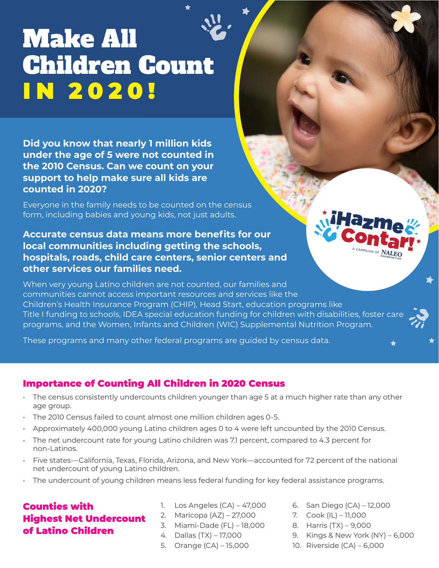# Make All Children Count IN 2020!

**Did you know that nearly 1 million kids under the age of 5 were not counted in the 2010 Census. Can we count on your support to help make sure all kids are counted in 2020?**

Everyone in the family needs to be counted on the census form, including babies and young kids, not just adults.

**Accurate census data means more benefits for our local communities including getting the schools, hospitals, roads, child care centers, senior centers and other services our families need.**

When very young Latino children are not counted, our families and communities cannot access important resources and services like the Children's Health Insurance Program (CHIP), Head Start, education programs like Title I funding to schools, IDEA special education funding for children with disabilities, foster care programs, and the Women, Infants and Children (WIC) Supplemental Nutrition Program.

These programs and many other federal programs are guided by census data.

# Importance of Counting All Children in 2020 Census

- The census consistently undercounts children younger than age 5 at a much higher rate than any other age group.
- The 2010 Census failed to count almost one million children ages 0-5.
- Approximately 400,000 young Latino children ages 0 to 4 were left uncounted by the 2010 Census.
- The net undercount rate for young Latino children was 7.1 percent, compared to 4.3 percent for non-Latinos.
- Five states—California, Texas, Florida, Arizona, and New York—accounted for 72 percent of the national net undercount of young Latino children.
- The undercount of young children means less federal funding for key federal assistance programs.

# Counties with Highest Net Undercount of Latino Children

- 1. Los Angeles (CA) 47,000
- 2. Maricopa (AZ) 27,000
- 3. Miami-Dade (FL) 18,000
- 4. Dallas (TX) 17,000
- 5. Orange (CA) 15,000
- 6. San Diego (CA) 12,000
- 7. Cook (IL) 11,000
- 8. Harris (TX) 9,000
- 9. Kings & New York (NY) 6,000
- 10. Riverside (CA) 6,000